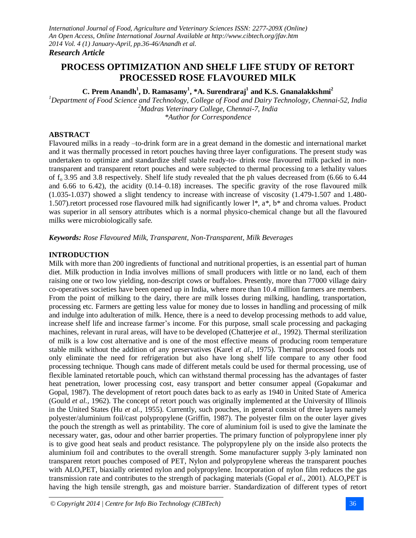# **PROCESS OPTIMIZATION AND SHELF LIFE STUDY OF RETORT PROCESSED ROSE FLAVOURED MILK**

## **C. Prem Anandh<sup>1</sup> , D. Ramasamy<sup>1</sup> , \*A. Surendraraj<sup>1</sup> and K.S. Gnanalakkshmi<sup>2</sup>**

*<sup>1</sup>Department of Food Science and Technology, College of Food and Dairy Technology, Chennai-52, India <sup>2</sup>Madras Veterinary College, Chennai-7, India \*Author for Correspondence*

## **ABSTRACT**

Flavoured milks in a ready –to-drink form are in a great demand in the domestic and international market and it was thermally processed in retort pouches having three layer configurations. The present study was undertaken to optimize and standardize shelf stable ready-to- drink rose flavoured milk packed in nontransparent and transparent retort pouches and were subjected to thermal processing to a lethality values of  $f_0$  3.95 and 3.8 respectively. Shelf life study revealed that the ph values decreased from (6.66 to 6.44 and 6.66 to 6.42), the acidity (0.14–0.18) increases. The specific gravity of the rose flavoured milk (1.035-1.037) showed a slight tendency to increase with increase of viscosity (1.479-1.507 and 1.480- 1.507)*.*retort processed rose flavoured milk had significantly lower l\*, a\*, b\* and chroma values. Product was superior in all sensory attributes which is a normal physico-chemical change but all the flavoured milks were microbiologically safe.

*Keywords: Rose Flavoured Milk, Transparent, Non-Transparent, Milk Beverages*

## **INTRODUCTION**

Milk with more than 200 ingredients of functional and nutritional properties, is an essential part of human diet. Milk production in India involves millions of small producers with little or no land, each of them raising one or two low yielding, non-descript cows or buffaloes. Presently, more than 77000 village dairy co-operatives societies have been opened up in India, where more than 10.4 million farmers are members. From the point of milking to the dairy, there are milk losses during milking, handling, transportation, processing etc. Farmers are getting less value for money due to losses in handling and processing of milk and indulge into adulteration of milk. Hence, there is a need to develop processing methods to add value, increase shelf life and increase farmer's income. For this purpose, small scale processing and packaging machines, relevant in rural areas, will have to be developed (Chatterjee *et al*., 1992). Thermal sterilization of milk is a low cost alternative and is one of the most effective means of producing room temperature stable milk without the addition of any preservatives (Karel *et al*., 1975). Thermal processed foods not only eliminate the need for refrigeration but also have long shelf life compare to any other food processing technique. Though cans made of different metals could be used for thermal processing, use of flexible laminated retortable pouch, which can withstand thermal processing has the advantages of faster heat penetration, lower processing cost, easy transport and better consumer appeal (Gopakumar and Gopal, 1987). The development of retort pouch dates back to as early as 1940 in United State of America (Gould *et al.,* 1962). The concept of retort pouch was originally implemented at the University of Illinois in the United States (Hu *et al.,* 1955). Currently, such pouches, in general consist of three layers namely polyester/aluminium foil/cast polypropylene (Griffin, 1987). The polyester film on the outer layer gives the pouch the strength as well as printability. The core of aluminium foil is used to give the laminate the necessary water, gas, odour and other barrier properties. The primary function of polypropylene inner ply is to give good heat seals and product resistance. The polypropylene ply on the inside also protects the aluminium foil and contributes to the overall strength. Some manufacturer supply 3-ply laminated non transparent retort pouches composed of PET, Nylon and polypropylene whereas the transparent pouches with ALO<sub>x</sub>PET, biaxially oriented nylon and polypropylene. Incorporation of nylon film reduces the gas transmission rate and contributes to the strength of packaging materials (Gopal *et al*., 2001). ALOxPET is having the high tensile strength, gas and moisture barrier. Standardization of different types of retort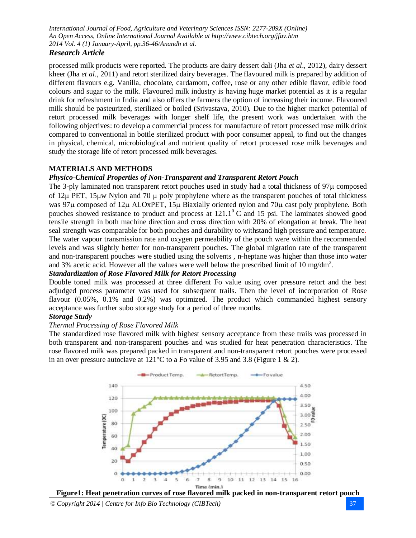### *Research Article*

processed milk products were reported. The products are dairy dessert dali (Jha *et al*., 2012), dairy dessert kheer (Jha *et al*., 2011) and retort sterilized dairy beverages. The flavoured milk is prepared by addition of different flavours e.g. Vanilla, chocolate, cardamom, coffee, rose or any other edible flavor, edible food colours and sugar to the milk. Flavoured milk industry is having huge market potential as it is a regular drink for refreshment in India and also offers the farmers the option of increasing their income. Flavoured milk should be pasteurized, sterilized or boiled (Srivastava, 2010). Due to the higher market potential of retort processed milk beverages with longer shelf life, the present work was undertaken with the following objectives: to develop a commercial process for manufacture of retort processed rose milk drink compared to conventional in bottle sterilized product with poor consumer appeal, to find out the changes in physical, chemical, microbiological and nutrient quality of retort processed rose milk beverages and study the storage life of retort processed milk beverages.

## **MATERIALS AND METHODS**

#### *Physico-Chemical Properties of Non-Transparent and Transparent Retort Pouch*

The 3-ply laminated non transparent retort pouches used in study had a total thickness of  $97\mu$  composed of  $12\mu$  PET,  $15\mu$ w Nylon and 70  $\mu$  poly prophylene where as the transparent pouches of total thickness was 97µ composed of 12µ ALOxPET, 15µ Biaxially oriented nylon and 70µ cast poly prophylene. Both pouches showed resistance to product and process at  $121.1^\circ$  C and 15 psi. The laminates showed good tensile strength in both machine direction and cross direction with 20% of elongation at break. The heat seal strength was comparable for both pouches and durability to withstand high pressure and temperature. The water vapour transmission rate and oxygen permeability of the pouch were within the recommended levels and was slightly better for non-transparent pouches. The global migration rate of the transparent and non-transparent pouches were studied using the solvents , n-heptane was higher than those into water and 3% acetic acid. However all the values were well below the prescribed limit of 10 mg/dm<sup>2</sup>.

## *Standardization of Rose Flavored Milk for Retort Processing*

Double toned milk was processed at three different Fo value using over pressure retort and the best adjudged process parameter was used for subsequent trails. Then the level of incorporation of Rose flavour (0.05%, 0.1% and 0.2%) was optimized. The product which commanded highest sensory acceptance was further subo storage study for a period of three months.

#### *Storage Study*

#### *Thermal Processing of Rose Flavored Milk*

The standardized rose flavored milk with highest sensory acceptance from these trails was processed in both transparent and non-transparent pouches and was studied for heat penetration characteristics. The rose flavored milk was prepared packed in transparent and non-transparent retort pouches were processed in an over pressure autoclave at 121<sup>o</sup>C to a Fo value of 3.95 and 3.8 (Figure 1 & 2).



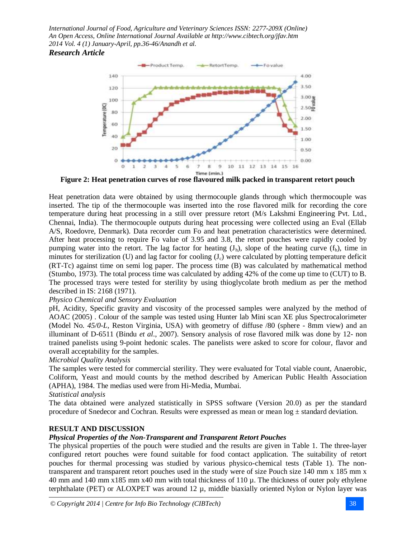

**Figure 2: Heat penetration curves of rose flavoured milk packed in transparent retort pouch**

Heat penetration data were obtained by using thermocouple glands through which thermocouple was inserted. The tip of the thermocouple was inserted into the rose flavored milk for recording the core temperature during heat processing in a still over pressure retort (M/s Lakshmi Engineering Pvt. Ltd., Chennai, India). The thermocouple outputs during heat processing were collected using an Eval (Ellab A/S, Roedovre, Denmark). Data recorder cum Fo and heat penetration characteristics were determined. After heat processing to require Fo value of 3.95 and 3.8, the retort pouches were rapidly cooled by pumping water into the retort. The lag factor for heating  $(J_h)$ , slope of the heating curve  $(f_h)$ , time in minutes for sterilization  $(U)$  and lag factor for cooling  $(J<sub>c</sub>)$  were calculated by plotting temperature deficit (RT-Tc) against time on semi log paper. The process time (B) was calculated by mathematical method (Stumbo, 1973). The total process time was calculated by adding 42% of the come up time to (CUT) to B. The processed trays were tested for sterility by using thioglycolate broth medium as per the method described in IS: 2168 (1971).

#### *Physico Chemical and Sensory Evaluation*

pH, Acidity, Specific gravity and viscosity of the processed samples were analyzed by the method of AOAC (2005) . Colour of the sample was tested using Hunter lab Mini scan XE plus Spectrocalorimeter (Model No. *45/0-L,* Reston Virginia, USA) with geometry of diffuse /80 (sphere - 8mm view) and an illuminant of D-6511 (Bindu *et al*., 2007). Sensory analysis of rose flavored milk was done by 12- non trained panelists using 9-point hedonic scales. The panelists were asked to score for colour, flavor and overall acceptability for the samples.

#### *Microbial Quality Analysis*

The samples were tested for commercial sterility. They were evaluated for Total viable count, Anaerobic, Coliform, Yeast and mould counts by the method described by American Public Health Association (APHA), 1984. The medias used were from Hi-Media, Mumbai.

### *Statistical analysis*

The data obtained were analyzed statistically in SPSS software (Version 20.0) as per the standard procedure of Snedecor and Cochran. Results were expressed as mean or mean  $log \pm$  standard deviation.

#### **RESULT AND DISCUSSION**

### *Physical Properties of the Non-Transparent and Transparent Retort Pouches*

The physical properties of the pouch were studied and the results are given in Table 1. The three-layer configured retort pouches were found suitable for food contact application. The suitability of retort pouches for thermal processing was studied by various physico-chemical tests (Table 1). The nontransparent and transparent retort pouches used in the study were of size Pouch size 140 mm x 185 mm x 40 mm and 140 mm x185 mm x40 mm with total thickness of 110 µ. The thickness of outer poly ethylene terphthalate (PET) or ALOXPET was around 12 µ, middle biaxially oriented Nylon or Nylon layer was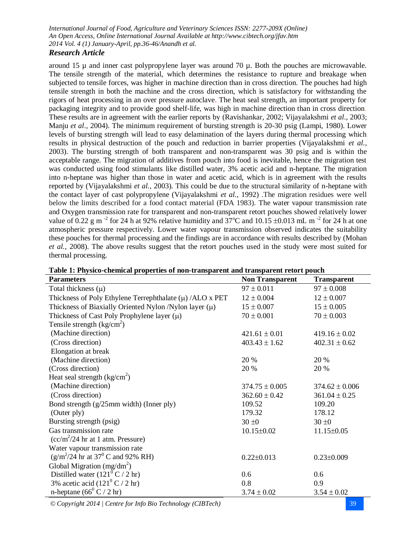#### *Research Article*

around 15  $\mu$  and inner cast polypropylene layer was around 70  $\mu$ . Both the pouches are microwavable. The tensile strength of the material, which determines the resistance to rupture and breakage when subjected to tensile forces, was higher in machine direction than in cross direction. The pouches had high tensile strength in both the machine and the cross direction, which is satisfactory for withstanding the rigors of heat processing in an over pressure autoclave. The heat seal strength, an important property for packaging integrity and to provide good shelf-life, was high in machine direction than in cross direction. These results are in agreement with the earlier reports by (Ravishankar*,* 2002; Vijayalakshmi *et al*., 2003; Manju *et al*., 2004). The minimum requirement of bursting strength is 20-30 psig (Lampi, 1980). Lower levels of bursting strength will lead to easy delamination of the layers during thermal processing which results in physical destruction of the pouch and reduction in barrier properties (Vijayalakshmi *et al.,* 2003). The bursting strength of both transparent and non-transparent was 30 psig and is within the acceptable range. The migration of additives from pouch into food is inevitable, hence the migration test was conducted using food stimulants like distilled water, 3% acetic acid and n-heptane. The migration into n-heptane was higher than those in water and acetic acid, which is in agreement with the results reported by (Vijayalakshmi *et al.,* 2003). This could be due to the structural similarity of n-heptane with the contact layer of cast polypropylene (Vijayalakshmi *et al.,* 1992) .The migration residues were well below the limits described for a food contact material (FDA 1983). The water vapour transmission rate and Oxygen transmission rate for transparent and non-transparent retort pouches showed relatively lower value of 0.22 g m<sup>-2</sup> for 24 h at 92% relative humidity and 37<sup>o</sup>C and 10.15  $\pm$ 0.013 mL m<sup>-2</sup> for 24 h at one atmospheric pressure respectively. Lower water vapour transmission observed indicates the suitability these pouches for thermal processing and the findings are in accordance with results described by (Mohan *et al.,* 2008). The above results suggest that the retort pouches used in the study were most suited for thermal processing.

|                           | Table 1: Physico-chemical properties of non-transparent and transparent retort pouch |
|---------------------------|--------------------------------------------------------------------------------------|
| $\mathbf{n}$ $\mathbf{r}$ | $\mathbf{M}$ and $\mathbf{M}$ and $\mathbf{M}$                                       |

| <b>Parameters</b>                                            | <b>Non Transparent</b> | <b>Transparent</b> |
|--------------------------------------------------------------|------------------------|--------------------|
| Total thickness $(\mu)$                                      | $97 \pm 0.011$         | $97 \pm 0.008$     |
| Thickness of Poly Ethylene Terrephthalate $(\mu)$ /ALO x PET | $12 \pm 0.004$         | $12 \pm 0.007$     |
| Thickness of Biaxially Oriented Nylon /Nylon layer $(\mu)$   | $15 \pm 0.007$         | $15 \pm 0.005$     |
| Thickness of Cast Poly Prophylene layer $(\mu)$              | $70 \pm 0.001$         | $70 \pm 0.003$     |
| Tensile strength $\frac{kg}{cm^2}$                           |                        |                    |
| (Machine direction)                                          | $421.61 \pm 0.01$      | $419.16 \pm 0.02$  |
| (Cross direction)                                            | $403.43 \pm 1.62$      | $402.31 \pm 0.62$  |
| Elongation at break                                          |                        |                    |
| (Machine direction)                                          | 20 %                   | 20 %               |
| (Cross direction)                                            | 20 %                   | 20 %               |
| Heat seal strength $\frac{kg}{cm^2}$                         |                        |                    |
| (Machine direction)                                          | $374.75 \pm 0.005$     | $374.62 \pm 0.006$ |
| (Cross direction)                                            | $362.60 \pm 0.42$      | $361.04 \pm 0.25$  |
| Bond strength $(g/25$ mm width) (Inner ply)                  | 109.52                 | 109.20             |
| (Outer ply)                                                  | 179.32                 | 178.12             |
| Bursting strength (psig)                                     | $30 \pm 0$             | $30 \pm 0$         |
| Gas transmission rate                                        | $10.15 \pm 0.02$       | $11.15 \pm 0.05$   |
| $(cc/m^2/24$ hr at 1 atm. Pressure)                          |                        |                    |
| Water vapour transmission rate                               |                        |                    |
| $(g/m^2/24$ hr at 37 <sup>0</sup> C and 92% RH)              | $0.22 \pm 0.013$       | $0.23 \pm 0.009$   |
| Global Migration (mg/dm <sup>2</sup> )                       |                        |                    |
| Distilled water $(121^{\overline{0}}C/2 \text{ hr})$         | 0.6                    | 0.6                |
| 3% acetic acid $(121^{\circ} C / 2 \text{ hr})$              | 0.8                    | 0.9                |
| n-heptane $(66^{\circ} C / 2 \text{ hr})$                    | $3.74 \pm 0.02$        | $3.54 \pm 0.02$    |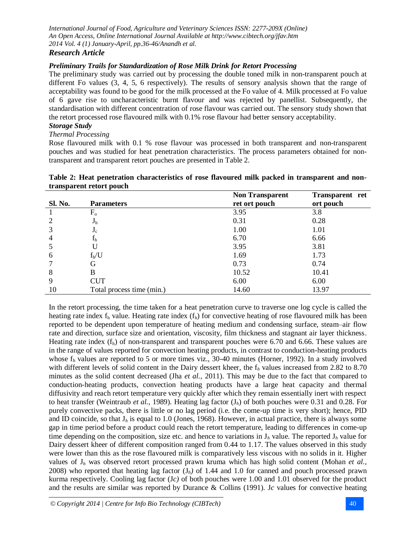## *Research Article*

## *Preliminary Trails for Standardization of Rose Milk Drink for Retort Processing*

The preliminary study was carried out by processing the double toned milk in non-transparent pouch at different Fo values (3, 4, 5, 6 respectively). The results of sensory analysis shown that the range of acceptability was found to be good for the milk processed at the Fo value of 4. Milk processed at Fo value of 6 gave rise to uncharacteristic burnt flavour and was rejected by panellist. Subsequently, the standardisation with different concentration of rose flavour was carried out. The sensory study shown that the retort processed rose flavoured milk with 0.1% rose flavour had better sensory acceptability.

## *Storage Study*

*Thermal Processing*

Rose flavoured milk with 0.1 % rose flavour was processed in both transparent and non-transparent pouches and was studied for heat penetration characteristics. The process parameters obtained for nontransparent and transparent retort pouches are presented in Table 2.

#### **Table 2: Heat penetration characteristics of rose flavoured milk packed in transparent and nontransparent retort pouch**

|                |                           | <b>Non Transparent</b> | <b>Transparent</b> ret |
|----------------|---------------------------|------------------------|------------------------|
| <b>Sl. No.</b> | <b>Parameters</b>         | ret ort pouch          | ort pouch              |
|                | $F_{o}$                   | 3.95                   | 3.8                    |
| $\overline{2}$ | J <sub>h</sub>            | 0.31                   | 0.28                   |
| 3              | $J_c$                     | 1.00                   | 1.01                   |
| $\overline{4}$ | $f_h$                     | 6.70                   | 6.66                   |
| 5              |                           | 3.95                   | 3.81                   |
| 6              | $f_h/U$                   | 1.69                   | 1.73                   |
|                | G                         | 0.73                   | 0.74                   |
| 8              | B                         | 10.52                  | 10.41                  |
| 9              | <b>CUT</b>                | 6.00                   | 6.00                   |
| 10             | Total process time (min.) | 14.60                  | 13.97                  |

In the retort processing, the time taken for a heat penetration curve to traverse one log cycle is called the heating rate index  $f_h$  value. Heating rate index  $(f_h)$  for convective heating of rose flavoured milk has been reported to be dependent upon temperature of heating medium and condensing surface, steam–air flow rate and direction, surface size and orientation, viscosity, film thickness and stagnant air layer thickness. Heating rate index  $(f_h)$  of non-transparent and transparent pouches were 6.70 and 6.66. These values are in the range of values reported for convection heating products, in contrast to conduction-heating products whose  $f_h$  values are reported to 5 or more times viz., 30-40 minutes (Horner, 1992). In a study involved with different levels of solid content in the Dairy dessert kheer, the  $f_h$  values increased from 2.82 to 8.70 minutes as the solid content decreased (Jha *et al.,* 2011). This may be due to the fact that compared to conduction-heating products, convection heating products have a large heat capacity and thermal diffusivity and reach retort temperature very quickly after which they remain essentially inert with respect to heat transfer (Weintraub *et al.,* 1989). Heating lag factor (J*h*) of both pouches were 0.31 and 0.28. For purely convective packs, there is little or no lag period (i.e. the come-up time is very short); hence, PID and ID coincide, so that J*<sup>h</sup>* is equal to 1.0 (Jones, 1968). However, in actual practice, there is always some gap in time period before a product could reach the retort temperature, leading to differences in come-up time depending on the composition, size etc. and hence to variations in  $J_h$  value. The reported  $J_h$  value for Dairy dessert kheer of different composition ranged from 0.44 to 1.17. The values observed in this study were lower than this as the rose flavoured milk is comparatively less viscous with no solids in it. Higher values of J*<sup>h</sup>* was observed retort processed prawn kruma which has high solid content (Mohan *et al.,* 2008) who reported that heating lag factor  $(J_h)$  of 1.44 and 1.0 for canned and pouch processed prawn kurma respectively. Cooling lag factor (J*c)* of both pouches were 1.00 and 1.01 observed for the product and the results are similar was reported by Durance & Collins (1991). J*c* values for convective heating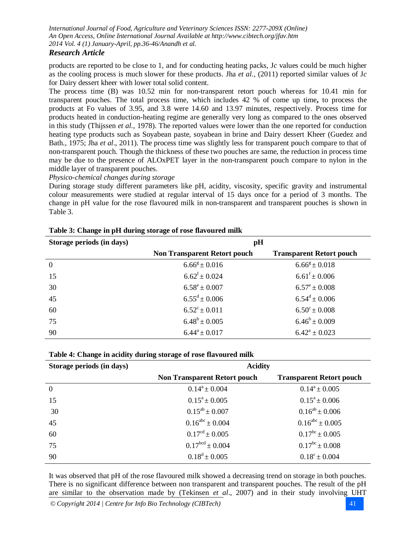#### *Research Article*

products are reported to be close to 1, and for conducting heating packs, J*c* values could be much higher as the cooling process is much slower for these products. Jha *et al.,* (2011) reported similar values of J*c* for Dairy dessert kheer with lower total solid content.

The process time (B) was 10.52 min for non-transparent retort pouch whereas for 10.41 min for transparent pouches. The total process time, which includes 42 % of come up time**,** to process the products at Fo values of 3.95, and 3.8 were 14.60 and 13.97 minutes, respectively. Process time for products heated in conduction-heating regime are generally very long as compared to the ones observed in this study (Thijssen *et al.,* 1978). The reported values were lower than the one reported for conduction heating type products such as Soyabean paste, soyabean in brine and Dairy dessert Kheer (Guedez and Bath., 1975; Jha *et al*., 2011). The process time was slightly less for transparent pouch compare to that of non-transparent pouch. Though the thickness of these two pouches are same, the reduction in process time may be due to the presence of ALOxPET layer in the non-transparent pouch compare to nylon in the middle layer of transparent pouches.

#### *Physico-chemical changes during storage*

During storage study different parameters like pH, acidity, viscosity, specific gravity and instrumental colour measurements were studied at regular interval of 15 days once for a period of 3 months. The change in pH value for the rose flavoured milk in non-transparent and transparent pouches is shown in Table 3.

| Storage periods (in days) | pH                                  |                                 |  |  |  |
|---------------------------|-------------------------------------|---------------------------------|--|--|--|
|                           | <b>Non Transparent Retort pouch</b> | <b>Transparent Retort pouch</b> |  |  |  |
| $\boldsymbol{0}$          | $6.66^{\rm g} \pm 0.016$            | $6.66^{\rm g} \pm 0.018$        |  |  |  |
| 15                        | $6.62^{\mathrm{f}} \pm 0.024$       | $6.61^{\rm f} \pm 0.006$        |  |  |  |
| 30                        | $6.58^e \pm 0.007$                  | $6.57^{\circ} \pm 0.008$        |  |  |  |
| 45                        | $6.55^d \pm 0.006$                  | $6.54^d \pm 0.006$              |  |  |  |
| 60                        | $6.52^{\circ} \pm 0.011$            | $6.50^{\circ} \pm 0.008$        |  |  |  |
| 75                        | $6.48^b \pm 0.005$                  | $6.46^b \pm 0.009$              |  |  |  |
| 90                        | $6.44^a \pm 0.017$                  | $6.42^{\rm a} \pm 0.023$        |  |  |  |

| Table 3: Change in pH during storage of rose flavoured milk |
|-------------------------------------------------------------|
|-------------------------------------------------------------|

| Table 4: Change in acidity during storage of rose flavoured milk |  |  |  |
|------------------------------------------------------------------|--|--|--|
|                                                                  |  |  |  |

| Storage periods (in days) | <b>Acidity</b>                      |                                 |  |  |  |
|---------------------------|-------------------------------------|---------------------------------|--|--|--|
|                           | <b>Non Transparent Retort pouch</b> | <b>Transparent Retort pouch</b> |  |  |  |
| $\overline{0}$            | $0.14^a \pm 0.004$                  | $0.14^a \pm 0.005$              |  |  |  |
| 15                        | $0.15^a \pm 0.005$                  | $0.15^a \pm 0.006$              |  |  |  |
| 30                        | $0.15^{ab} \pm 0.007$               | $0.16^{ab} \pm 0.006$           |  |  |  |
| 45                        | $0.16^{abc} \pm 0.004$              | $0.16^{abc} \pm 0.005$          |  |  |  |
| 60                        | $0.17^{\text{cd}} \pm 0.005$        | $0.17^{bc} \pm 0.005$           |  |  |  |
| 75                        | $0.17^{bcd} \pm 0.004$              | $0.17^{bc} \pm 0.008$           |  |  |  |
| 90                        | $0.18^d \pm 0.005$                  | $0.18^{\circ} \pm 0.004$        |  |  |  |

It was observed that pH of the rose flavoured milk showed a decreasing trend on storage in both pouches. There is no significant difference between non transparent and transparent pouches. The result of the pH are similar to the observation made by (Tekinsen *et al*., 2007) and in their study involving UHT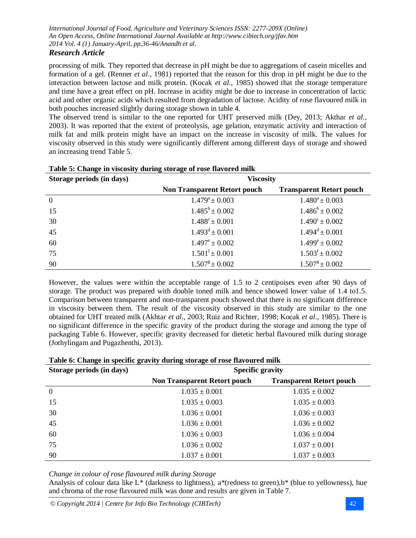## *Research Article*

processing of milk. They reported that decrease in pH might be due to aggregations of casein micelles and formation of a gel. (Renner *et al*., 1981) reported that the reason for this drop in pH might be due to the interaction between lactose and milk protein. (Kocak *et al.,* 1985) showed that the storage temperature and time have a great effect on pH. Increase in acidity might be due to increase in concentration of lactic acid and other organic acids which resulted from degradation of lactose. Acidity of rose flavoured milk in both pouches increased slightly during storage shown in table 4.

The observed trend is similar to the one reported for UHT preserved milk (Dey, 2013; Akthar *et al.,*  2003). It was reported that the extent of proteolysis, age gelation, enzymatic activity and interaction of milk fat and milk protein might have an impact on the increase in viscosity of milk. The values for viscosity observed in this study were significantly different among different days of storage and showed an increasing trend Table 5.

| Storage periods (in days) | <b>Viscosity</b>                    |                                 |  |  |  |
|---------------------------|-------------------------------------|---------------------------------|--|--|--|
|                           | <b>Non Transparent Retort pouch</b> | <b>Transparent Retort pouch</b> |  |  |  |
| $\overline{0}$            | $1.479^a \pm 0.003$                 | $1.480^a \pm 0.003$             |  |  |  |
| 15                        | $1.485^b \pm 0.002$                 | $1.486^b \pm 0.002$             |  |  |  |
| 30                        | $1.488^{\circ} \pm 0.001$           | $1.490^{\circ} \pm 0.002$       |  |  |  |
| 45                        | $1.493^d \pm 0.001$                 | $1.494^d \pm 0.001$             |  |  |  |
| 60                        | $1.497^{\circ} \pm 0.002$           | $1.499^e \pm 0.002$             |  |  |  |
| 75                        | $1.501^{\mathrm{f}} \pm 0.001$      | $1.503^{\mathrm{f}} \pm 0.002$  |  |  |  |
| 90                        | $1.507^{\rm g} \pm 0.002$           | $1.507^{\text{g}} \pm 0.002$    |  |  |  |

#### **Table 5: Change in viscosity during storage of rose flavored milk**

However, the values were within the acceptable range of 1.5 to 2 centipoises even after 90 days of storage. The product was prepared with double toned milk and hence showed lower value of 1.4 to1.5. Comparison between transparent and non-transparent pouch showed that there is no significant difference in viscosity between them. The result of the viscosity observed in this study are similar to the one obtained for UHT treated milk (Akhtar *et al*., 2003; Ruiz and Richter, 1998; Kocak *et al*., 1985). There is no significant difference in the specific gravity of the product during the storage and among the type of packaging Table 6. However, specific gravity decreased for dietetic herbal flavoured milk during storage (Jothylingam and Pugazhenthi, 2013).

| Storage periods (in days) | <b>Specific gravity</b>             |                                 |  |  |  |  |
|---------------------------|-------------------------------------|---------------------------------|--|--|--|--|
|                           | <b>Non Transparent Retort pouch</b> | <b>Transparent Retort pouch</b> |  |  |  |  |
| $\boldsymbol{0}$          | $1.035 \pm 0.001$                   | $1.035 \pm 0.002$               |  |  |  |  |
| 15                        | $1.035 \pm 0.003$                   | $1.035 \pm 0.003$               |  |  |  |  |
| 30                        | $1.036 \pm 0.001$                   | $1.036 \pm 0.003$               |  |  |  |  |
| 45                        | $1.036 \pm 0.001$                   | $1.036 \pm 0.002$               |  |  |  |  |
| 60                        | $1.036 \pm 0.003$                   | $1.036 \pm 0.004$               |  |  |  |  |
| 75                        | $1.036 \pm 0.002$                   | $1.037 \pm 0.001$               |  |  |  |  |
| 90                        | $1.037 \pm 0.001$                   | $1.037 \pm 0.003$               |  |  |  |  |

#### **Table 6: Change in specific gravity during storage of rose flavoured milk**

*Change in colour of rose flavoured milk during Storage*

Analysis of colour data like  $L^*$  (darkness to lightness), a<sup>\*</sup>(redness to green), b<sup>\*</sup> (blue to yellowness), hue and chroma of the rose flavoured milk was done and results are given in Table 7.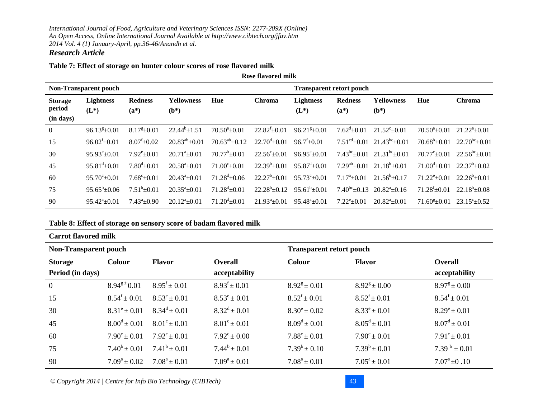## *Research Article*

#### **Table 7: Effect of storage on hunter colour scores of rose flavored milk**

| Rose flavored milk                                              |                             |                           |                             |                               |                               |                             |                           |                              |                                |                        |
|-----------------------------------------------------------------|-----------------------------|---------------------------|-----------------------------|-------------------------------|-------------------------------|-----------------------------|---------------------------|------------------------------|--------------------------------|------------------------|
| <b>Non-Transparent pouch</b><br><b>Transparent retort pouch</b> |                             |                           |                             |                               |                               |                             |                           |                              |                                |                        |
| <b>Storage</b><br>period<br>(in days)                           | <b>Lightness</b><br>$(L^*)$ | <b>Redness</b><br>$(a^*)$ | <b>Yellowness</b><br>$(b*)$ | Hue                           | <b>Chroma</b>                 | <b>Lightness</b><br>$(L^*)$ | <b>Redness</b><br>$(a^*)$ | <b>Yellowness</b><br>$(b^*)$ | Hue                            | <b>Chroma</b>          |
| $\overline{0}$                                                  | $96.13^{8}+0.01$            | $8.17^{8} \pm 0.01$       | $22.44^{b} \pm 1.51$        | $70.50^a \pm 0.01$            | $22.82^{\mathrm{t}} \pm 0.01$ | $96.21\frac{g}{2}$ = 0.01   | $7.62^{\text{d}} + 0.01$  | $21.52^{\circ}+0.01$         | $70.50^{\circ}$ ±0.01          | $21.22^{\circ}$ ±0.01  |
| 15                                                              | $96.02^{f} \pm 0.01$        | $8.07^{f} \pm 0.02$       | $20.83^{ab} \pm 0.01$       | $70.63^{ab} \pm 0.12$         | $22.70^{\text{d}} + 0.01$     | $96.7^{\mathrm{t}}\pm0.01$  | $7.51^{\text{cd}}$ +0.01  | $21.43^{bc} \pm 0.01$        | $70.68^b \pm 0.01$             | $22.70^{bc} \pm 0.01$  |
| 30                                                              | $95.93^{\circ}$ ±0.01       | $7.92^{\rm e}{\pm}0.01$   | $20.71^{\circ}+0.01$        | $70.77^b \pm 0.01$            | $22.56^{\circ} \pm 0.01$      | $96.95^{\circ}$ ±0.01       | $7.43^{bc}$ + 0.01        | $21.31^{bc}$ +0.01           | $70.77^{\circ}+0.01$           | $22.56^{\rm bc}$ ±0.01 |
| 45                                                              | $95.81^{\text{d}} \pm 0.01$ | $7.80^{\rm d}$ ±0.01      | $20.58^{\text{a}} + 0.01$   | $71.00^{\circ}+0.01$          | $22.39^b + 0.01$              | $95.87^{\text{d}} + 0.01$   | $7.29^{ab}$ + 0.01        | $21.18^{b} + 0.01$           | $71.00^{\text{d}} + 0.01$      | $22.37^b \pm 0.02$     |
| 60                                                              | $95.70^{\circ}+0.01$        | $7.68^{\circ} \pm 0.01$   | $20.43^a \pm 0.01$          | $71.28^{\text{d}} + 0.06$     | $22.27^b + 0.01$              | $95.73^{\circ}+0.01$        | $7.17^{\circ}$ + 0.01     | $21.56^b \pm 0.17$           | $71.22^{\circ}+0.01$           | $22.26^b + 0.01$       |
| 75                                                              | $95.65^{\rm b}$ +0.06       | $7.51^b \pm 0.01$         | $20.35^{\circ}+0.01$        | $71.28^{\text{d}} \pm 0.01$   | $22.28^b + 0.12$              | $95.61^{b} \pm 0.01$        | $7.40^{bc}$ + 0.13        | $20.82^{a} + 0.16$           | $71.28^{f}$ + 0.01             | $22.18^b \pm 0.08$     |
| 90                                                              | $95.42^{\circ}$ +0.01       | $7.43^a \pm 0.90$         | $20.12^{\mathrm{a}}$ + 0.01 | $71.20^{\mathrm{d}} \pm 0.01$ | $21.93^a \pm 0.01$            | $95.48^a \pm 0.01$          | $7.22^{\rm e}{\pm}0.01$   | $20.82^{\circ}$ +0.01        | $71.60^{\text{g}}\text{+}0.01$ | $23.15^{\circ}$ + 0.52 |

## **Table 8: Effect of storage on sensory score of badam flavored milk**

| <b>Carrot flavored milk</b>                                     |                         |                         |                              |                              |                              |                         |  |
|-----------------------------------------------------------------|-------------------------|-------------------------|------------------------------|------------------------------|------------------------------|-------------------------|--|
| <b>Non-Transparent pouch</b><br><b>Transparent retort pouch</b> |                         |                         |                              |                              |                              |                         |  |
| <b>Storage</b>                                                  | Colour                  | <b>Flavor</b>           | <b>Overall</b>               | <b>Colour</b>                | <b>Flavor</b>                | <b>Overall</b>          |  |
| Period (in days)                                                |                         |                         | acceptability                |                              |                              | acceptability           |  |
| $\overline{0}$                                                  | $8.94^{g\pm}0.01$       | $8.95^{\rm f} \pm 0.01$ | $8.93^{\mathrm{f}} \pm 0.01$ | $8.92^{\text{g}} \pm 0.01$   | $8.92^{\text{g}} \pm 0.00$   | $8.97^{\circ} \pm 0.00$ |  |
| 15                                                              | $8.54^f \pm 0.01$       | $8.53^e \pm 0.01$       | $8.53^e \pm 0.01$            | $8.52^{\mathrm{f}} \pm 0.01$ | $8.52^{\mathrm{f}} \pm 0.01$ | $8.54^f \pm 0.01$       |  |
| 30                                                              | $8.31^{\circ} \pm 0.01$ | $8.34^d \pm 0.01$       | $8.32^d \pm 0.01$            | $8.30^{\circ} \pm 0.02$      | $8.33^e \pm 0.01$            | $8.29^e \pm 0.01$       |  |
| 45                                                              | $8.00^d \pm 0.01$       | $8.01^{\circ} \pm 0.01$ | $8.01^{\circ} \pm 0.01$      | $8.09^d \pm 0.01$            | $8.05^d \pm 0.01$            | $8.07^d \pm 0.01$       |  |
| 60                                                              | $7.90^{\circ} \pm 0.01$ | $7.92^{\circ} \pm 0.01$ | $7.92^{\circ} \pm 0.00$      | $7.88^{\circ} \pm 0.01$      | $7.90^{\circ} \pm 0.01$      | $7.91^{\circ} \pm 0.01$ |  |
| 75                                                              | $7.40^b \pm 0.01$       | $7.41^b \pm 0.01$       | $7.44^b \pm 0.01$            | $7.39^b \pm 0.10$            | $7.39^b \pm 0.01$            | $7.39^{b} \pm 0.01$     |  |
| 90                                                              | $7.09^a \pm 0.02$       | $7.08^a \pm 0.01$       | $7.09^a \pm 0.01$            | $7.08^a \pm 0.01$            | $7.05^a \pm 0.01$            | $7.07^{\circ}$ ±0.10    |  |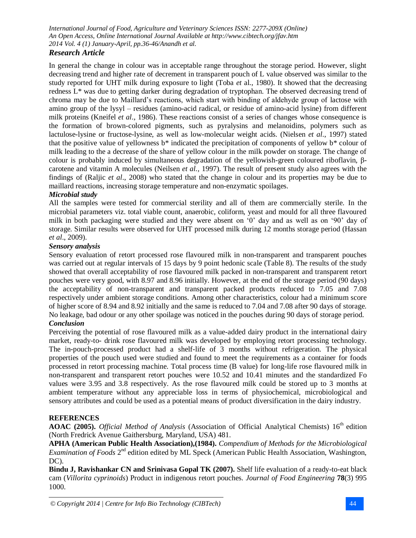## *Research Article*

In general the change in colour was in acceptable range throughout the storage period. However, slight decreasing trend and higher rate of decrement in transparent pouch of L value observed was similar to the study reported for UHT milk during exposure to light (Toba *et* al., 1980). It showed that the decreasing redness L\* was due to getting darker during degradation of tryptophan. The observed decreasing trend of chroma may be due to Maillard's reactions, which start with binding of aldehyde group of lactose with amino group of the lysyl – residues (amino-acid radical, or residue of amino-acid lysine) from different milk proteins (Kneifel *et al*., 1986). These reactions consist of a series of changes whose consequence is the formation of brown-colored pigments, such as pyralysins and melanoidins, polymers such as lactulose-lysine or fructose-lysine, as well as low-molecular weight acids. (Nielsen *et al*., 1997) stated that the positive value of yellowness  $b^*$  indicated the precipitation of components of yellow  $b^*$  colour of milk leading to the a decrease of the share of yellow colour in the milk powder on storage. The change of colour is probably induced by simultaneous degradation of the yellowish-green coloured riboflavin, βcarotene and vitamin A molecules (Neilsen *et al.,* 1997). The result of present study also agrees with the findings of (Raljic *et al*., 2008) who stated that the change in colour and its properties may be due to maillard reactions, increasing storage temperature and non-enzymatic spoilages.

## *Microbial study*

All the samples were tested for commercial sterility and all of them are commercially sterile. In the microbial parameters viz. total viable count, anaerobic, coliform, yeast and mould for all three flavoured milk in both packaging were studied and they were absent on '0' day and as well as on '90' day of storage. Similar results were observed for UHT processed milk during 12 months storage period (Hassan *et al*., 2009).

#### *Sensory analysis*

Sensory evaluation of retort processed rose flavoured milk in non-transparent and transparent pouches was carried out at regular intervals of 15 days by 9 point hedonic scale (Table 8). The results of the study showed that overall acceptability of rose flavoured milk packed in non-transparent and transparent retort pouches were very good, with 8.97 and 8.96 initially. However, at the end of the storage period (90 days) the acceptability of non-transparent and transparent packed products reduced to 7.05 and 7.08 respectively under ambient storage conditions. Among other characteristics, colour had a minimum score of higher score of 8.94 and 8.92 initially and the same is reduced to 7.04 and 7.08 after 90 days of storage. No leakage, bad odour or any other spoilage was noticed in the pouches during 90 days of storage period. *Conclusion*

Perceiving the potential of rose flavoured milk as a value-added dairy product in the international dairy market, ready-to- drink rose flavoured milk was developed by employing retort processing technology. The in-pouch-processed product had a shelf-life of 3 months without refrigeration. The physical properties of the pouch used were studied and found to meet the requirements as a container for foods processed in retort processing machine. Total process time (B value) for long-life rose flavoured milk in non-transparent and transparent retort pouches were 10.52 and 10.41 minutes and the standardized Fo values were 3.95 and 3.8 respectively. As the rose flavoured milk could be stored up to 3 months at ambient temperature without any appreciable loss in terms of physiochemical, microbiological and sensory attributes and could be used as a potential means of product diversification in the dairy industry.

#### **REFERENCES**

AOAC (2005). *Official Method of Analysis* (Association of Official Analytical Chemists) 16<sup>th</sup> edition (North Fredrick Avenue Gaithersburg, Maryland, USA) 481.

**APHA (American Public Health Association),(1984).** *Compendium of Methods for the Microbiological* Examination of Foods 2<sup>nd</sup> edition edited by ML Speck (American Public Health Association, Washington,  $DC$ ).

**Bindu J, Ravishankar CN and Srinivasa Gopal TK (2007).** Shelf life evaluation of a ready-to-eat black cam (*Villorita cyprinoids*) Product in indigenous retort pouches. *Journal of Food Engineering* **78**(3) 995 1000.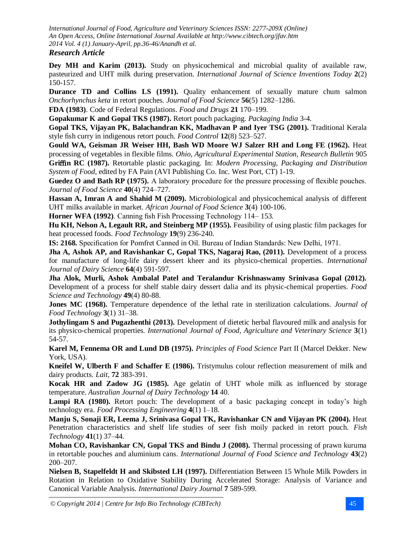## *Research Article*

**Dey MH and Karim (2013).** Study on physicochemical and microbial quality of available raw, pasteurized and UHT milk during preservation. *International Journal of Science Inventions Today* **2**(2) 150-157.

**Durance TD and Collins LS (1991).** Quality enhancement of sexually mature chum salmon *Onchorhynchus keta* in retort pouches*. Journal of Food Science* **56**(5) 1282–1286.

**FDA (1983)**. Code of Federal Regulations. *Food and Drugs* **21** 170–199.

**Gopakumar K and Gopal TKS (1987).** Retort pouch packaging. *Packaging India* 3-4.

**Gopal TKS, Vijayan PK, Balachandran KK, Madhavan P and Iyer TSG (2001).** Traditional Kerala style fish curry in indigenous retort pouch. *Food Control* **12**(8) 523–527.

**Gould WA, Geisman JR Weiser HH, Bash WD Moore WJ Salzer RH and Long FE (1962).** Heat processing of vegetables in flexible films. *Ohio, Agricultural Experimental Station, Research Bulletin* 905 **Gri**ffi**n RC (1987).** Retortable plastic packaging. In: *Modern Processing, Packaging and Distribution System of Food*, edited by FA Pain (AVI Publishing Co. Inc. West Port, CT) 1-19.

**Guedez O and Bath RP (1975).** A laboratory procedure for the pressure processing of flexible pouches. *Journal of Food Science* **40**(4) 724–727.

**Hassan A, Imran A and Shahid M (2009).** Microbiological and physicochemical analysis of different UHT milks available in market. *African Journal of Food Science* **3**(4) 100-106.

**Horner WFA (1992)**. Canning fish Fish Processing Technology 114– 153.

**Hu KH, Nelson A, Legault RR, and Steinberg MP (1955).** Feasibility of using plastic film packages for heat processed foods. *Food Technology* **19**(9) 236-240.

**IS: 2168.** Specification for Pomfret Canned in Oil. Bureau of Indian Standards: New Delhi, 1971.

**Jha A, Ashok AP, and Ravishankar C, Gopal TKS, Nagaraj Rao, (2011).** Development of a process for manufacture of long-life dairy dessert kheer and its physico-chemical properties. *International Journal of Dairy Science* **64**(4) 591-597.

**Jha Alok, Murli, Ashok Ambalal Patel and Teralandur Krishnaswamy Srinivasa Gopal (2012).** Development of a process for shelf stable dairy dessert dalia and its physic-chemical properties. *Food Science and Technology* **49**(4) 80-88.

**Jones MC (1968).** Temperature dependence of the lethal rate in sterilization calculations. *Journal of Food Technology* **3**(1) 31–38.

**Jothylingam S and Pugazhenthi (2013).** Development of dietetic herbal flavoured milk and analysis for its physico-chemical properties*. International Journal of Food, Agriculture and Veterinary Science* **3**(1) 54-57.

**Karel M, Fennema OR and Lund DB (1975).** *Principles of Food Science* Part II (Marcel Dekker. New York, USA).

**Kneifel W, Ulberth F and Schaffer E (1986).** Tristymulus colour reflection measurement of milk and dairy products. *Lait*, **72** 383-391.

**Kocak HR and Zadow JG (1985).** Age gelatin of UHT whole milk as influenced by storage temperature. *Australian Journal of Dairy Technology* **14** 40.

Lampi RA (1980). Retort pouch: The development of a basic packaging concept in today's high technology era. *Food Processing Engineering* **4**(1) 1–18.

**Manju S, Sonaji ER, Leema J, Srinivasa Gopal TK, Ravishankar CN and Vijayan PK (2004).** Heat Penetration characteristics and shelf life studies of seer fish moily packed in retort pouch. *Fish Technology* **41**(1) 37–44.

**Mohan CO, Ravishankar CN, Gopal TKS and Bindu J (2008).** Thermal processing of prawn kuruma in retortable pouches and aluminium cans. *International Journal of Food Science and Technology* **43**(2) 200–207.

**Nielsen B, Stapelfeldt H and Skibsted LH (1997).** Differentiation Between 15 Whole Milk Powders in Rotation in Relation to Oxidative Stability During Accelerated Storage: Analysis of Variance and Canonical Variable Analysis. *International Dairy Journal* **7** 589-599.